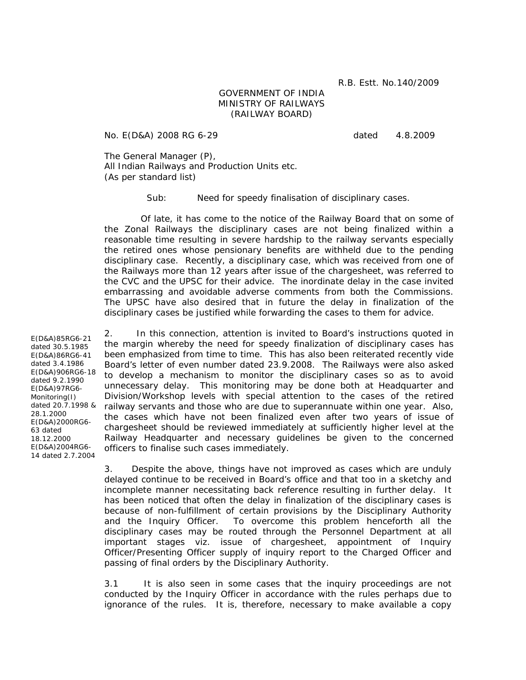R.B. Estt. No.140/2009

## GOVERNMENT OF INDIA MINISTRY OF RAILWAYS (RAILWAY BOARD)

No. E(D&A) 2008 RG 6-29 dated 4.8.2009

The General Manager (P), All Indian Railways and Production Units etc. (As per standard list)

Sub: Need for speedy finalisation of disciplinary cases.

 Of late, it has come to the notice of the Railway Board that on some of the Zonal Railways the disciplinary cases are not being finalized within a reasonable time resulting in severe hardship to the railway servants especially the retired ones whose pensionary benefits are withheld due to the pending disciplinary case. Recently, a disciplinary case, which was received from one of the Railways more than 12 years after issue of the chargesheet, was referred to the CVC and the UPSC for their advice. The inordinate delay in the case invited embarrassing and avoidable adverse comments from both the Commissions. The UPSC have also desired that in future the delay in finalization of the disciplinary cases be justified while forwarding the cases to them for advice.

2. In this connection, attention is invited to Board's instructions quoted in the margin whereby the need for speedy finalization of disciplinary cases has been emphasized from time to time. This has also been reiterated recently vide Board's letter of even number dated 23.9.2008. The Railways were also asked to develop a mechanism to monitor the disciplinary cases so as to avoid unnecessary delay. This monitoring may be done both at Headquarter and Division/Workshop levels with special attention to the cases of the retired railway servants and those who are due to superannuate within one year. Also, the cases which have not been finalized even after two years of issue of chargesheet should be reviewed immediately at sufficiently higher level at the Railway Headquarter and necessary guidelines be given to the concerned officers to finalise such cases immediately.

3. Despite the above, things have not improved as cases which are unduly delayed continue to be received in Board's office and that too in a sketchy and incomplete manner necessitating back reference resulting in further delay. It has been noticed that often the delay in finalization of the disciplinary cases is because of non-fulfillment of certain provisions by the Disciplinary Authority and the Inquiry Officer. To overcome this problem henceforth all the disciplinary cases may be routed through the Personnel Department at all important stages viz. issue of chargesheet, appointment of Inquiry Officer/Presenting Officer supply of inquiry report to the Charged Officer and passing of final orders by the Disciplinary Authority.

3.1 It is also seen in some cases that the inquiry proceedings are not conducted by the Inquiry Officer in accordance with the rules perhaps due to ignorance of the rules. It is, therefore, necessary to make available a copy

E(D&A)85RG6-21 dated 30.5.1985 E(D&A)86RG6-41 dated 3.4.1986 E(D&A)906RG6-18 dated 9.2.1990 E(D&A)97RG6- Monitoring(I) dated 20.7.1998 & 28.1.2000 E(D&A)2000RG6- 63 dated 18.12.2000 E(D&A)2004RG6- 14 dated 2.7.2004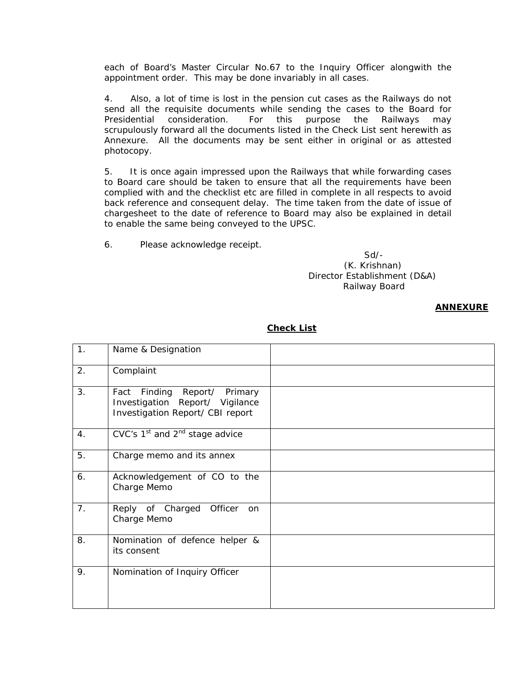each of Board's Master Circular No.67 to the Inquiry Officer alongwith the appointment order. This may be done invariably in all cases.

4. Also, a lot of time is lost in the pension cut cases as the Railways do not send all the requisite documents while sending the cases to the Board for Presidential consideration. For this purpose the Railways may scrupulously forward all the documents listed in the Check List sent herewith as Annexure. All the documents may be sent either in original or as attested photocopy.

5. It is once again impressed upon the Railways that while forwarding cases to Board care should be taken to ensure that all the requirements have been complied with and the checklist etc are filled in complete in all respects to avoid back reference and consequent delay. The time taken from the date of issue of chargesheet to the date of reference to Board may also be explained in detail to enable the same being conveyed to the UPSC.

6. Please acknowledge receipt.

 Sd/- (K. Krishnan) Director Establishment (D&A) Railway Board

## **ANNEXURE**

| 1. | Name & Designation                                                                                        |  |
|----|-----------------------------------------------------------------------------------------------------------|--|
| 2. | Complaint                                                                                                 |  |
| 3. | Finding<br>Report/ Primary<br>Fact<br>Investigation Report/ Vigilance<br>Investigation Report/ CBI report |  |
| 4. | CVC's $1st$ and $2nd$ stage advice                                                                        |  |
| 5. | Charge memo and its annex                                                                                 |  |
| 6. | Acknowledgement of CO to the<br>Charge Memo                                                               |  |
| 7. | Reply of Charged<br>Officer<br><b>on</b><br>Charge Memo                                                   |  |
| 8. | Nomination of defence helper &<br>its consent                                                             |  |
| 9. | Nomination of Inquiry Officer                                                                             |  |

## **Check List**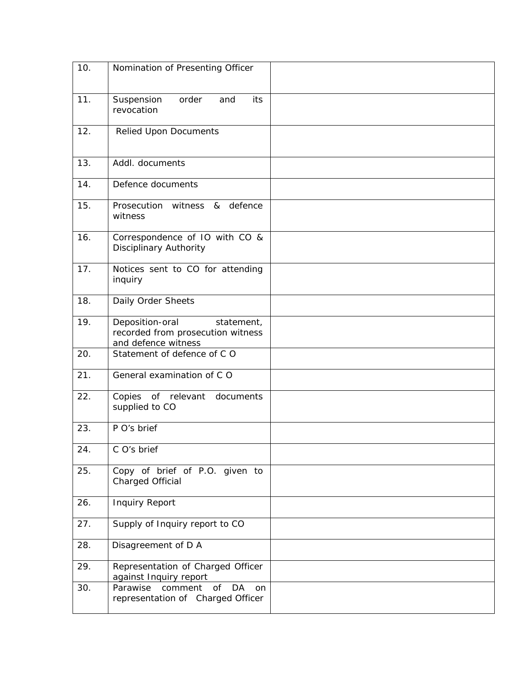| 10. | Nomination of Presenting Officer                                                          |  |
|-----|-------------------------------------------------------------------------------------------|--|
| 11. | Suspension<br>order<br>and<br>its<br>revocation                                           |  |
| 12. | <b>Relied Upon Documents</b>                                                              |  |
| 13. | Addl. documents                                                                           |  |
| 14. | Defence documents                                                                         |  |
| 15. | Prosecution<br>witness & defence<br>witness                                               |  |
| 16. | Correspondence of IO with CO &<br><b>Disciplinary Authority</b>                           |  |
| 17. | Notices sent to CO for attending<br>inquiry                                               |  |
| 18. | Daily Order Sheets                                                                        |  |
| 19. | Deposition-oral<br>statement,<br>recorded from prosecution witness<br>and defence witness |  |
| 20. | Statement of defence of CO                                                                |  |
| 21. | General examination of CO                                                                 |  |
| 22. | Copies of relevant documents<br>supplied to CO                                            |  |
| 23. | P O's brief                                                                               |  |
| 24. | C O's brief                                                                               |  |
| 25. | Copy of brief of P.O. given to<br>Charged Official                                        |  |
| 26. | <b>Inquiry Report</b>                                                                     |  |
| 27. | Supply of Inquiry report to CO                                                            |  |
| 28. | Disagreement of D A                                                                       |  |
| 29. | Representation of Charged Officer<br>against Inquiry report                               |  |
| 30. | comment<br>of<br>DA<br>Parawise<br>on<br>representation of Charged Officer                |  |